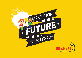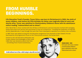# FROM HUMBLE BEGINNINGS.

**Life Education Trust's Founder, Trevor Grice, was born in Christchurch in 1932, the sixth of seven children. Just before his fifth birthday his father was tragically killed at work and shortly after, Trevor was admitted to Cholmondeley Children's Home with his admittance notice reading "malnourished and no shoes".**

After World War II, Trevor worked with the US Navy in Christchurch, and soon became involved with managing issues that arose from service men and women on the ice in Antarctica – including the treatment of drug and alcohol dependencies. It was through this work that Trevor developed a reputation as a family crisis counsellor.

In 1987 Trevor was asked to bring the Life Education programme from Australia to New Zealand. He was fascinated by the programme's focus on the 'three pound universe', the human brain.

Central to the Life Education philosophy was to give children the knowledge so they could make their own decisions about their lives – something Trevor found revolutionary.

**A child without love is like a child trying to clap with one hand.**



At 10 years old he was a resident of Cholmondeley Children's Home, admittance notice said 'Malnourished and no shoes'.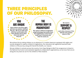## THREE PRINCIPLES OF OUR PHILOSOPHY.

### **YOU ARE UNIQUE**

**Never before and never again will there be another child just like you. We try to make each child feel comfortable with their identity and to show them how special they are.**

### **THE HUMAN BODY IS MAGNIFICENT**

**We capture children's imagination using technology that shows them the magnificence of the human body, how it functions and what its needs are.** 



**delicate and complex nature of life.** 

////////////////////

We achieve this by taking children on an adventure in a mobile classroom equipped with sights and sounds designed to capture children's imaginations. Our educators (all registered teachers) take children on this journey, along with Harold the Giraffe, our mascot.

We see children in schools across the country, from Cape Reinga to Bluff. Our programme is linked to the National Curriculum and evaluated regularly by independent organisations, so we know that we are doing the very best we can for the children of New Zealand.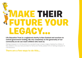# MAKE THEIR FUTURE YOUR LEGACY...

#### **Life Education Trust is a registered charity in New Zealand and receives no central government funding. We rely completely on the generosity of our community so we can reach children who need us.**

Making a bequest to Life Education is a wonderful way to leave a legacy helping the children of New Zealand. Once you have provided for family and friends, please think of leaving a bequest to Life Education.

#### **There are a few ways to do this...**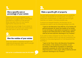### 1.

#### **Give a specific sum or percentage of your estate**

A specific sum for your bequest is one option, but it is a good idea to think about the effects of inflation on the amount. What may seem like a lot now may be significantly reduced over time.

Nominating a percentage of your estate to Life Education will ensure your estate does the most work it can for the charity.

### 2.

#### **Give the residue of your estate**

Once your estate is assessed and gifts are made and all expenses taken care of, you gift what is left to Life Education.

**Call us for a confidential chat 04 473 2050**

### 3.

#### **Make a specific gift of property**

You can name a property or an asset that you would like to leave for the benefit of Life Education. It is best to check with us beforehand, to make sure that your gift matches our needs in the best possible way.

To ensure your bequest benefits Life Education as you intended, you need to use the following wording in your Will:

*"I give to Life Education Trust (NZ) Inc, (% of estate, for general purposes, for which the residue of my estate, or sum of money, or description of property or assets) receipt of the Chief Executive or other proper officer shall be full and sufficient discharge to my Trustees."*

If you wish to leave a bequest for the Trevor Grice Life Education Foundation (which will then be invested by the Trustees for the enduring benefit of Life Education) the wording is:

*"I give to the Trevor Grice Life Education Foundation, (% of estate, or the residue of my estate, or sum of money, or description of property or assets) for investment purposes, for which the receipt of the Chief Executive or other proper officer shall be full and sufficient discharge to my Trustees."*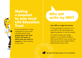### Making a bequest to your local Life Education **Trust**

If you would like to make a bequest to your local Life Education Trust, **simply insert the local Trust's full name, or which area you want to support**, in the wording in your Will.

### Who will write my Will?

#### **Your Will is a legal document.**

If the wording is incorrect, or if your Will is not witnessed and signed properly, it can be invalid.

It is best to have your legal advisor or a Trustee company draft your Will for you, as you can then be sure your estate will be distributed as you wish.

**We rely on the generosity of our community**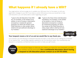### What happens if I already have a Will?

Your legal advisor will encourage you to update your Will every four to five years, or with any significant changes in your life. If you have a current Will and you know you would like to help Life Education, you can easily add a codicil regarding your gift:

- *"I give to the Life Education Trust (NZ) Inc, (% of estate, or the residue of my estate, or sum of money, or description of property or assets) for general purposes, for which the receipt of the Chief Executive or other proper officer shall be full and sufficient discharge to my Trustees."*
- *"I give to the Trevor Grice Life Education Foundation, (% of estate, or the residue of my estate, or sum of money, or description of property or assets) for investment purposes, for which the receipt of the Chief Executive or other proper officer shall be full and sufficient discharge to my Trustees."* **OR**

HAROLD CLUB

#### **Your bequest means a lot of us and we would like to say thank you.**

Let us know if you are leaving us a bequest because we want to say thank you by making you a member of our Harold Club – we will keep regularly updated on all Life Education news. Your membership and bequest is completely confidential unless you wish to make your gift known.

**THANK YOU**

We would be happy to discuss any ideas you have for your bequest, so that your wishes can be honoured. **For a confidential discussion about leaving a bequest to Life Education please contact us on 04 473 2050.**